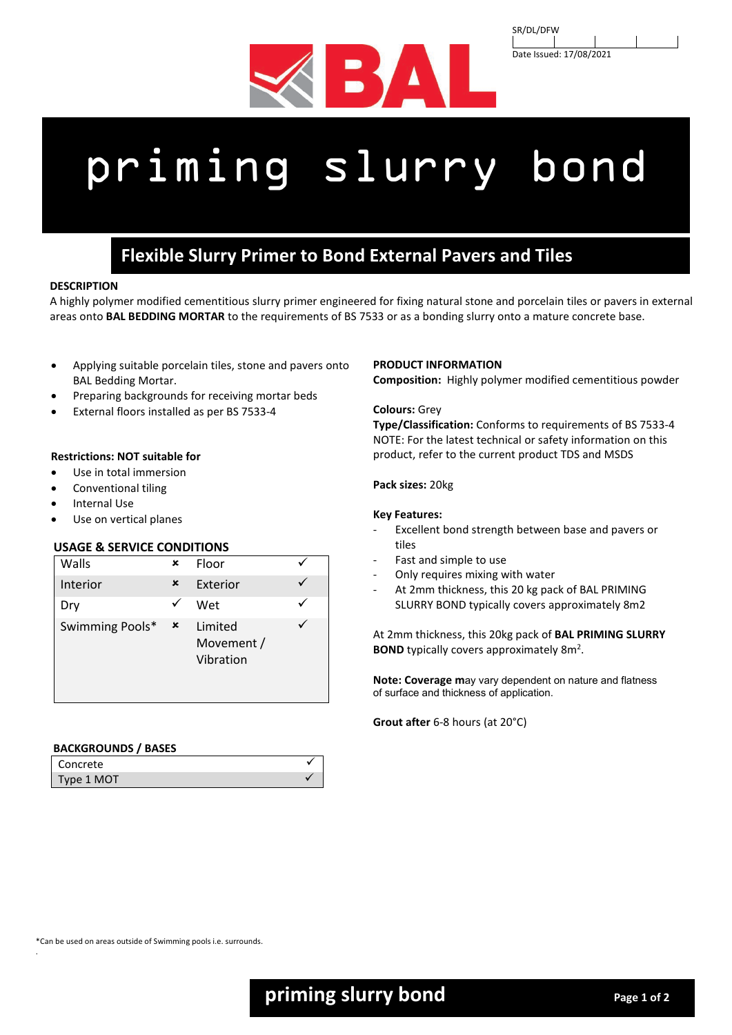



# priming slurry bond

# **Flexible Slurry Primer to Bond External Pavers and Tiles**

# **DESCRIPTION**

A highly polymer modified cementitious slurry primer engineered for fixing natural stone and porcelain tiles or pavers in external areas onto **BAL BEDDING MORTAR** to the requirements of BS 7533 or as a bonding slurry onto a mature concrete base.

- Applying suitable porcelain tiles, stone and pavers onto BAL Bedding Mortar.
- Preparing backgrounds for receiving mortar beds
- External floors installed as per BS 7533-4

# **Restrictions: NOT suitable for**

- Use in total immersion
- Conventional tiling
- Internal Use
- Use on vertical planes

# **USAGE & SERVICE CONDITIONS**

| Walls           | ×              | Floor                              |  |
|-----------------|----------------|------------------------------------|--|
| Interior        | ×              | Exterior                           |  |
| Dry             |                | Wet                                |  |
| Swimming Pools* | $\pmb{\times}$ | Limited<br>Movement /<br>Vibration |  |

# **BACKGROUNDS / BASES**

| Concrete   |  |
|------------|--|
| Type 1 MOT |  |

# **PRODUCT INFORMATION**

**Composition:** Highly polymer modified cementitious powder

# **Colours:** Grey

**Type/Classification:** Conforms to requirements of BS 7533-4 NOTE: For the latest technical or safety information on this product, refer to the current product TDS and MSDS

**Pack sizes:** 20kg

# **Key Features:**

- Excellent bond strength between base and pavers or tiles
- Fast and simple to use
- Only requires mixing with water
- At 2mm thickness, this 20 kg pack of BAL PRIMING SLURRY BOND typically covers approximately 8m2

At 2mm thickness, this 20kg pack of **BAL PRIMING SLURRY BOND** typically covers approximately 8m<sup>2</sup>.

**Note: Coverage m**ay vary dependent on nature and flatness of surface and thickness of application.

**Grout after** 6-8 hours (at 20°C)

\*Can be used on areas outside of Swimming pools i.e. surrounds.

.